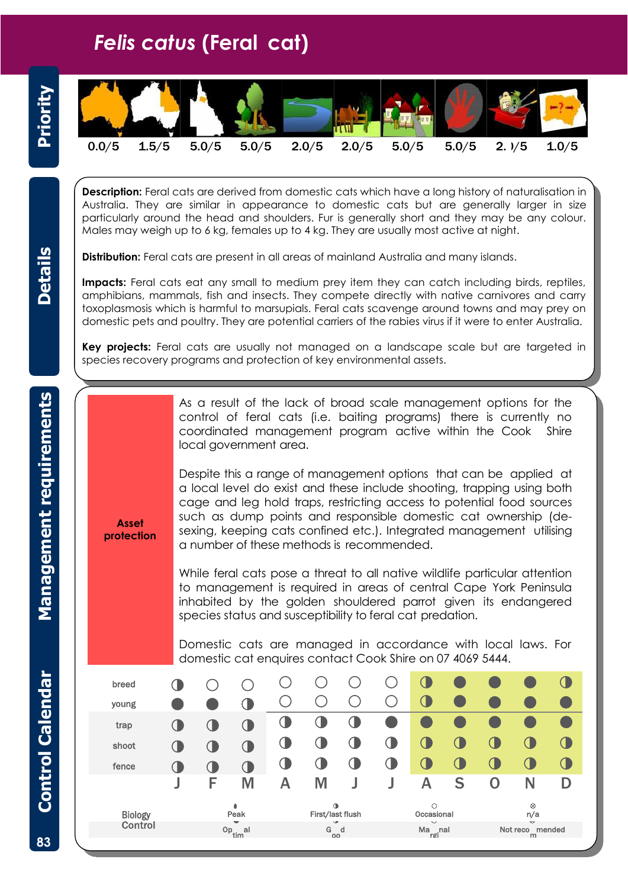## *Felis catus* **(Feral cat)**



**Description:** Feral cats are derived from domestic cats which have a long history of naturalisation in Australia. They are similar in appearance to domestic cats but are generally larger in size particularly around the head and shoulders. Fur is generally short and they may be any colour. Males may weigh up to 6 kg, females up to 4 kg. They are usually most active at night.

**Distribution:** Feral cats are present in all areas of mainland Australia and many islands.

**Impacts:** Feral cats eat any small to medium prey item they can catch including birds, reptiles, amphibians, mammals, fish and insects. They compete directly with native carnivores and carry toxoplasmosis which is harmful to marsupials. Feral cats scavenge around towns and may prey on domestic pets and poultry. They are potential carriers of the rabies virus if it were to enter Australia.

**Key projects:** Feral cats are usually not managed on a landscape scale but are targeted in species recovery programs and protection of key environmental assets.

> As a result of the lack of broad scale management options for the control of feral cats (i.e. baiting programs) there is currently no coordinated management program active within the Cook Shire local government area.

Despite this a range of management options that can be applied at a local level do exist and these include shooting, trapping using both cage and leg hold traps, restricting access to potential food sources such as dump points and responsible domestic cat ownership (desexing, keeping cats confined etc.). Integrated management utilising a number of these methods is recommended.

**Asset protection**

> While feral cats pose a threat to all native wildlife particular attention to management is required in areas of central Cape York Peninsula inhabited by the golden shouldered parrot given its endangered species status and susceptibility to feral cat predation.

> Domestic cats are managed in accordance with local laws. For domestic cat enquires contact Cook Shire on 07 4069 5444.

| breed          |  |               |   |   |                               |   |                           |   |   |                      |   |        |
|----------------|--|---------------|---|---|-------------------------------|---|---------------------------|---|---|----------------------|---|--------|
| young          |  |               |   |   |                               |   |                           |   |   |                      |   |        |
| trap           |  |               |   |   |                               |   |                           |   |   |                      |   |        |
| shoot          |  |               |   | U | U                             |   |                           |   |   |                      |   | Œ      |
| fence          |  |               |   |   | U                             |   |                           |   |   |                      |   | $\Box$ |
|                |  | F             | Μ | А | M                             |   |                           | Α | S | 0                    | N | D      |
|                |  | ٠             |   |   | $\bullet$<br>First/last flush |   | $\circ$                   |   |   | $\otimes$            |   |        |
| <b>Biology</b> |  | Peak          |   |   |                               |   | Occasional<br>$\check{ }$ |   |   | n/a<br>$\checkmark$  |   |        |
| Control        |  | $Op_{tim}$ al |   |   | ◡<br>G<br>00                  | d | $Ma$ <sub>rgi</sub> nal   |   |   | Not reco mended<br>m |   |        |

**Details**